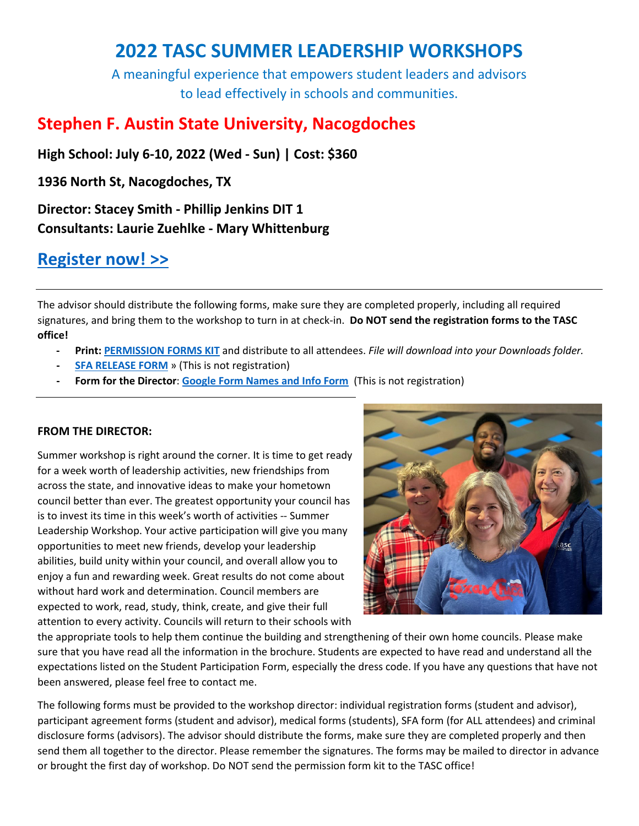# **2022 TASC SUMMER LEADERSHIP WORKSHOPS**

A meaningful experience that empowers student leaders and advisors to lead effectively in schools and communities.

## **Stephen F. Austin State University, Nacogdoches**

**High School: July 6-10, 2022 (Wed - Sun) | Cost: \$360**

**1936 North St, Nacogdoches, TX**

**Director: Stacey Smith - Phillip Jenkins DIT 1 Consultants: Laurie Zuehlke - Mary Whittenburg**

## **[Register now! >>](https://tasc.memberclicks.net/index.php?option=com_mcform&view=ngforms&id=2119506)**

The advisor should distribute the following forms, make sure they are completed properly, including all required signatures, and bring them to the workshop to turn in at check-in. **Do NOT send the registration forms to the TASC office!**

- **- Print: [PERMISSION FORMS](https://www.tasconline.org/assets/SUMMER_LEADERSHIP_WORKSHOPS/2022_SLW_FORM_KIT_ONSITE.docx) KIT** and distribute to all attendees. *File will download into your Downloads folder.*
- **- [SFA RELEASE FORM](https://tasc.memberclicks.net/assets/SUMMER_LEADERSHIP_WORKSHOPS/2022SFA%20Form.pdf)** » (This is not registration)
- **- Form for the Director**: **[Google Form Names and Info Form](https://forms.office.com/Pages/ResponsePage.aspx?id=qvNW0vyjoEqY5R6_fmUsz6Hu-ZuJQ5ZJk60fPDGILr9UMlZWMUVKRUMwTlU2ODhVQkY1WUcxNlFNRi4u&wdLOR=cEBD3FA4C-4CFB-4859-801B-6E574E58D695)** (This is not registration)

## **FROM THE DIRECTOR:**

Summer workshop is right around the corner. It is time to get ready for a week worth of leadership activities, new friendships from across the state, and innovative ideas to make your hometown council better than ever. The greatest opportunity your council has is to invest its time in this week's worth of activities -- Summer Leadership Workshop. Your active participation will give you many opportunities to meet new friends, develop your leadership abilities, build unity within your council, and overall allow you to enjoy a fun and rewarding week. Great results do not come about without hard work and determination. Council members are expected to work, read, study, think, create, and give their full attention to every activity. Councils will return to their schools with



the appropriate tools to help them continue the building and strengthening of their own home councils. Please make sure that you have read all the information in the brochure. Students are expected to have read and understand all the expectations listed on the Student Participation Form, especially the dress code. If you have any questions that have not been answered, please feel free to contact me.

The following forms must be provided to the workshop director: individual registration forms (student and advisor), participant agreement forms (student and advisor), medical forms (students), SFA form (for ALL attendees) and criminal disclosure forms (advisors). The advisor should distribute the forms, make sure they are completed properly and then send them all together to the director. Please remember the signatures. The forms may be mailed to director in advance or brought the first day of workshop. Do NOT send the permission form kit to the TASC office!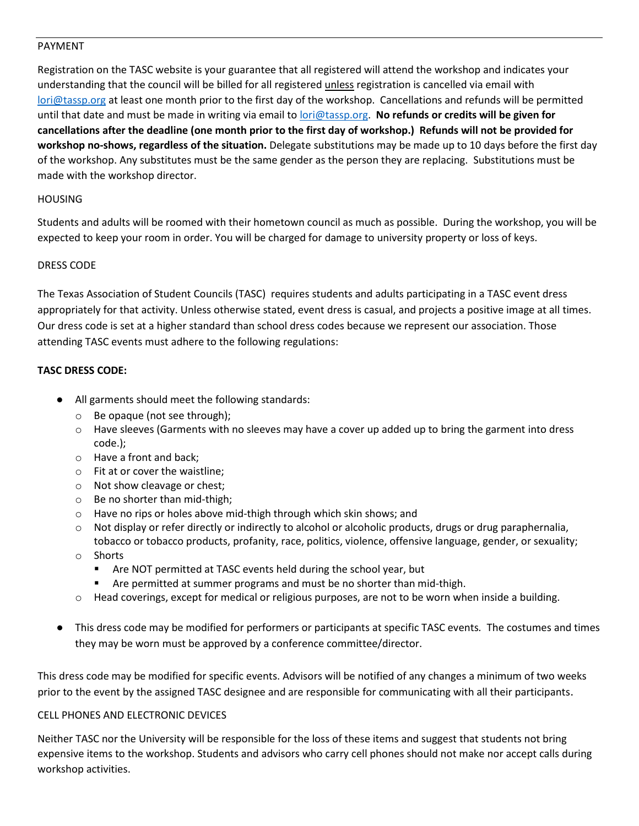## PAYMENT

Registration on the TASC website is your guarantee that all registered will attend the workshop and indicates your understanding that the council will be billed for all registered unless registration is cancelled via email with [lori@tassp.org](mailto:lori@tassp.org) at least one month prior to the first day of the workshop. Cancellations and refunds will be permitted until that date and must be made in writing via email to [lori@tassp.org.](mailto:lori@tassp.org) **No refunds or credits will be given for cancellations after the deadline (one month prior to the first day of workshop.) Refunds will not be provided for workshop no-shows, regardless of the situation.** Delegate substitutions may be made up to 10 days before the first day of the workshop. Any substitutes must be the same gender as the person they are replacing. Substitutions must be made with the workshop director.

### HOUSING

Students and adults will be roomed with their hometown council as much as possible. During the workshop, you will be expected to keep your room in order. You will be charged for damage to university property or loss of keys.

## DRESS CODE

The Texas Association of Student Councils (TASC) requires students and adults participating in a TASC event dress appropriately for that activity. Unless otherwise stated, event dress is casual, and projects a positive image at all times. Our dress code is set at a higher standard than school dress codes because we represent our association. Those attending TASC events must adhere to the following regulations:

## **TASC DRESS CODE:**

- All garments should meet the following standards:
	- o Be opaque (not see through);
	- $\circ$  Have sleeves (Garments with no sleeves may have a cover up added up to bring the garment into dress code.);
	- o Have a front and back;
	- o Fit at or cover the waistline;
	- o Not show cleavage or chest;
	- o Be no shorter than mid-thigh;
	- o Have no rips or holes above mid-thigh through which skin shows; and
	- o Not display or refer directly or indirectly to alcohol or alcoholic products, drugs or drug paraphernalia, tobacco or tobacco products, profanity, race, politics, violence, offensive language, gender, or sexuality;
	- o Shorts
		- **F** Are NOT permitted at TASC events held during the school year, but
		- Are permitted at summer programs and must be no shorter than mid-thigh.
	- $\circ$  Head coverings, except for medical or religious purposes, are not to be worn when inside a building.
- This dress code may be modified for performers or participants at specific TASC events*.* The costumes and times they may be worn must be approved by a conference committee/director.

This dress code may be modified for specific events. Advisors will be notified of any changes a minimum of two weeks prior to the event by the assigned TASC designee and are responsible for communicating with all their participants.

## CELL PHONES AND ELECTRONIC DEVICES

Neither TASC nor the University will be responsible for the loss of these items and suggest that students not bring expensive items to the workshop. Students and advisors who carry cell phones should not make nor accept calls during workshop activities.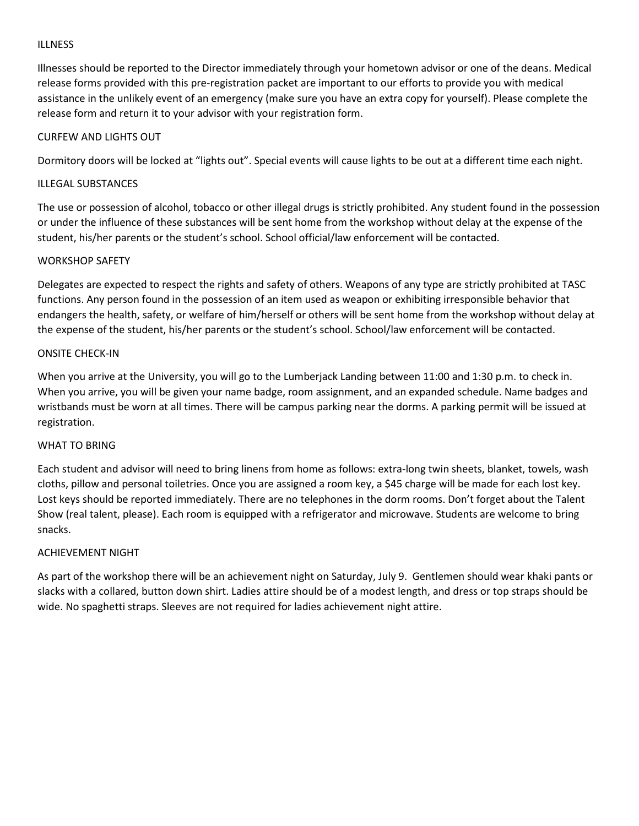### **ILLNESS**

Illnesses should be reported to the Director immediately through your hometown advisor or one of the deans. Medical release forms provided with this pre-registration packet are important to our efforts to provide you with medical assistance in the unlikely event of an emergency (make sure you have an extra copy for yourself). Please complete the release form and return it to your advisor with your registration form.

## CURFEW AND LIGHTS OUT

Dormitory doors will be locked at "lights out". Special events will cause lights to be out at a different time each night.

#### ILLEGAL SUBSTANCES

The use or possession of alcohol, tobacco or other illegal drugs is strictly prohibited. Any student found in the possession or under the influence of these substances will be sent home from the workshop without delay at the expense of the student, his/her parents or the student's school. School official/law enforcement will be contacted.

#### WORKSHOP SAFETY

Delegates are expected to respect the rights and safety of others. Weapons of any type are strictly prohibited at TASC functions. Any person found in the possession of an item used as weapon or exhibiting irresponsible behavior that endangers the health, safety, or welfare of him/herself or others will be sent home from the workshop without delay at the expense of the student, his/her parents or the student's school. School/law enforcement will be contacted.

#### ONSITE CHECK-IN

When you arrive at the University, you will go to the Lumberjack Landing between 11:00 and 1:30 p.m. to check in. When you arrive, you will be given your name badge, room assignment, and an expanded schedule. Name badges and wristbands must be worn at all times. There will be campus parking near the dorms. A parking permit will be issued at registration.

## WHAT TO BRING

Each student and advisor will need to bring linens from home as follows: extra-long twin sheets, blanket, towels, wash cloths, pillow and personal toiletries. Once you are assigned a room key, a \$45 charge will be made for each lost key. Lost keys should be reported immediately. There are no telephones in the dorm rooms. Don't forget about the Talent Show (real talent, please). Each room is equipped with a refrigerator and microwave. Students are welcome to bring snacks.

## ACHIEVEMENT NIGHT

As part of the workshop there will be an achievement night on Saturday, July 9. Gentlemen should wear khaki pants or slacks with a collared, button down shirt. Ladies attire should be of a modest length, and dress or top straps should be wide. No spaghetti straps. Sleeves are not required for ladies achievement night attire.